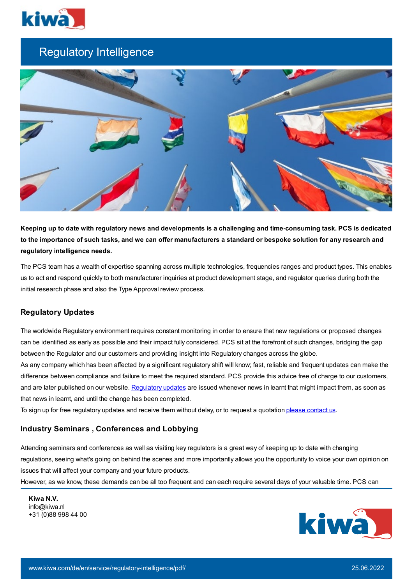

# Regulatory Intelligence



Keeping up to date with regulatory news and developments is a challenging and time-consuming task. PCS is dedicated to the importance of such tasks, and we can offer manufacturers a standard or bespoke solution for any research and **regulatory intelligence needs.**

The PCS team has a wealth of expertise spanning across multiple technologies, frequencies ranges and product types. This enables us to act and respond quickly to both manufacturer inquiries at product development stage, and regulator queries during both the initial research phase and also the Type Approval review process.

## **Regulatory Updates**

The worldwide Regulatory environment requires constant monitoring in order to ensure that new regulations or proposed changes can be identified as early as possible and their impact fully considered. PCS sit at the forefront of such changes, bridging the gap between the Regulator and our customers and providing insight into Regulatory changes across the globe.

As any company which has been affected by a significant regulatory shift will know; fast, reliable and frequent updates can make the difference between compliance and failure to meet the required standard. PCS provide this advice free of charge to our customers, and are later published on our website. [Regulatory](https://www.kiwa.com/gb/en/areas-of-expertise/pcs/regulatory-updates-events/) updates are issued whenever news in learnt that might impact them, as soon as that news in learnt, and until the change has been completed.

To sign up for free regulatory updates and receive them without delay, or to request a quotation please [contact](https://www.kiwa.com/gb/en/areas-of-expertise/pcs/contact-us/) us.

## **Industry Seminars , Conferences and Lobbying**

Attending seminars and conferences as well as visiting key regulators is a great way of keeping up to date with changing regulations, seeing what's going on behind the scenes and more importantly allows you the opportunity to voice your own opinion on issues that will affect your company and your future products.

However, as we know, these demands can be all too frequent and can each require several days of your valuable time. PCS can

**Kiwa N.V.** info@kiwa.nl +31 (0)88 998 44 00

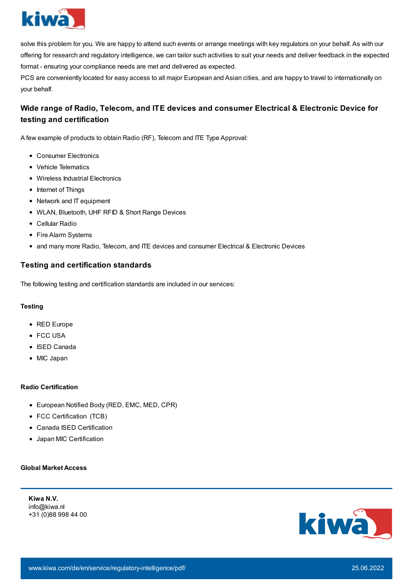

solve this problem for you. We are happy to attend such events or arrange meetings with key regulators on your behalf. As with our offering for research and regulatory intelligence, we can tailor such activities to suit your needs and deliver feedback in the expected format - ensuring your compliance needs are met and delivered as expected.

PCS are conveniently located for easy access to all major European and Asian cities, and are happy to travel to internationally on your behalf.

## **Wide range of Radio, Telecom, and ITE devices and consumer Electrical & Electronic Device for testing and certification**

A few example of products to obtain Radio (RF), Telecom and ITE Type Approval:

- Consumer Electronics
- Vehicle Telematics
- Wireless Industrial Electronics
- Internet of Things
- Network and IT equipment
- WLAN, Bluetooth, UHF RFID & Short Range Devices
- Cellular Radio
- Fire Alarm Systems
- and many more Radio, Telecom, and ITE devices and consumer Electrical & Electronic Devices

### **Testing and certification standards**

The following testing and certification standards are included in our services:

#### **Testing**

- RED Europe
- FCC USA
- ISED Canada
- MIC Japan

#### **Radio Certification**

- European Notified Body (RED, EMC, MED, CPR)
- FCC Certification (TCB)
- Canada ISED Certification
- Japan MIC Certification

#### **Global Market Access**

**Kiwa N.V.** info@kiwa.nl +31 (0)88 998 44 00